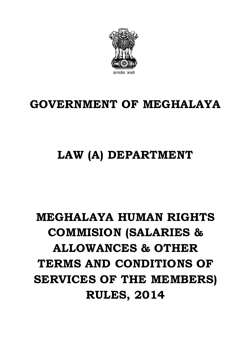

## **GOVERNMENT OF MEGHALAYA**

## **LAW (A) DEPARTMENT**

# **MEGHALAYA HUMAN RIGHTS COMMISION (SALARIES & ALLOWANCES & OTHER TERMS AND CONDITIONS OF SERVICES OF THE MEMBERS) RULES, 2014**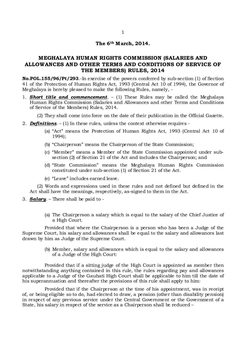#### **The 6th M arch, 2014.**

### **MEGHALAYA HUMAN RIGHTS COMMISSION (SALARIES AND ALLOWANCES AND OTHER TERMS AND CONDITIONS OF SERVICE OF THE MEMBERS) RULES, 2014**

**No.POL.155/96/Pt/293**.-In exercise of the powers conferred by sub-section (1) of Section 41 of the Protection of Human Rights Act, 1993 (Central Act 10 of 1994), the Governor of Meghalaya is hereby pleased to make the following Rules, namely, -

1. *Short title and commencement*. – (1) These Rules may be called the Meghalaya Human Rights Commission (Salaries and Allowances and other Terms and Conditions of Service of the Members) Rules, 2014.

(2) They shall come into force on the date of their publication in the Official Gazette.

- 2. *Definitions*. (1) In these rules, unless the context otherwise requires
	- (a) "Act" means the Protection of Human Rights Act, 1993 (Central Act 10 of 1994);
	- (b) "Chairperson" means the Chairperson of the State Commission;
	- (c) "Member" means a Member of the State Commission appointed under subsection (2) of Section 21 of the Act and includes the Chairperson; and
	- (d) "State Commission" means the Meghalaya Human Rights Commission constituted under sub-section (1) of Section 21 of the Act.
	- (e) "Leave" includes earned leave.

(2) Words and expressions used in these rules and not defined but defined in the Act shall have the meanings, respectively, as-signed to them in the Act.

- 3. *Salary*. There shall be paid to
	- (a) The Chairperson a salary which is equal to the salary of the Chief Justice of a High Court.

Provided that where the Chairperson is a person who has been a Judge of the Supreme Court, his salary and allowances shall be equal to the salary and allowances last drawn by him as Judge of the Supreme Court.

> (b) Member, salary and allowances which is equal to the salary and allowances of a Judge of the High Court:

Provided that if a sitting judge of the High Court is appointed as member then notwithstanding anything contained in this rule, the rules regarding pay and allowances applicable to a Judge of the Gauhati High Court shall be applicable to him till the date of his superannuation and thereafter the provisions of this rule shall apply to him:

Provided that if the Chairperson at the time of his appointment, was in receipt of, or being eligible so to do, had elected to draw, a pension (other than disability pension) in respect of any previous service under the Central Government or the Government of a State, his salary in respect of the service as a Chairperson shall be reduced –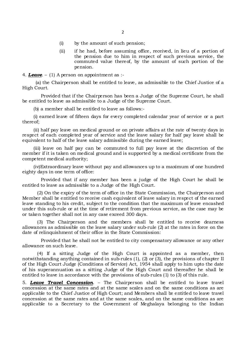- (i) by the amount of such pension;
- (ii) if he had, before assuming office, received, in lieu of a portion of the pension due to him in respect of such previous service, the commuted value thereof, by the amount of such portion of the pension.

4. *Leave*. – (1) A person on appointment as :-

 (a) the Chairperson shall be entitled to leave, as admissible to the Chief Justice of a High Court.

Provided that if the Chairperson has been a Judge of the Supreme Court, he shall be entitled to leave as admissible to a Judge of the Supreme Court.

(b) a member shall be entitled to leave as follows:-

(i) earned leave of fifteen days for every completed calendar year of service or a part thereof;

(ii) half pay leave on medical ground or on private affairs at the rate of twenty days in respect of each completed year of service and the leave salary for half pay leave shall be equivalent to half of the leave salary admissible during the earned leave;

(iii) leave on half pay can be commuted to full pay leave at the discretion of the member if it is taken on medical ground and is supported by a medical certificate from the competent medical authority;

(iv)Extraordinary leave without pay and allowances up to a maximum of one hundred eighty days in one term of office:

Provided that if any member has been a judge of the High Court he shall be entitled to leave as admissible to a Judge of the High Court.

(2) On the expiry of the term of office in the State Commission, the Chairperson and Member shall be entitled to receive cash equivalent of leave salary in respect of the earned leave standing to his credit, subject to the condition that the maximum of leave encashed under this sub-rule or at the time of retirement from previous service, as the case may be or taken together shall not in any case exceed 300 days.

(3) The Chairperson and the members shall be entitled to receive dearness allowances as admissible on the leave salary under sub-rule (2) at the rates in force on the date of relinquishment of their office in the State Commission:

Provided that he shall not be entitled to city compensatory allowance or any other allowance on such leave.

(4) If a sitting Judge of the High Court is appointed as a member, then notwithstanding anything contained in sub-rules (1), (2) or (3), the provisions of chapter II of the High Court Judge (Conditions of Service) Act, 1954 shall apply to him upto the date of his superannuation as a sitting Judge of the High Court and thereafter he shall be entitled to leave in accordance with the provisions of sub-rules (1) to (3) of this rule.

5. *Leave Travel Concession*. – The Chairperson shall be entitled to leave travel concession at the same rates and at the same scales and on the same conditions as are applicable to the Chief Justice of High Court; and Members shall be entitled to leave travel concession at the same rates and at the same scales, and on the same conditions as are applicable to a Secretary to the Government of Meghalaya belonging to the Indian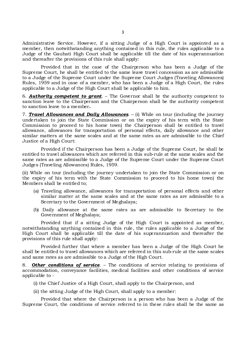Administrative Service. However, if a sitting Judge of a High Court is appointed as a member, then notwithstanding anything contained in this rule, the rules applicable to a Judge of the Gauhati High Court shall be applicable till the date of his superannuation and thereafter the provisions of this rule shall apply:

Provided that in the case of the Chairperson who has been a Judge of the Supreme Court, he shall be entitled to the same leave travel concession as are admissible to a Judge of the Supreme Court under the Supreme Court Judges (Traveling Allowances) Rules, 1959 and in case of a member, who has been a Judge of a High Court, the rules applicable to a Judge of the High Court shall be applicable to him.

6. *Authority competent to grant*. – The Governor shall be the authority competent to sanction leave to the Chairperson and the Chairperson shall be the authority competent to sanction leave to a member**.**

7. *Travel Allowances and Daily Allowances*. – (i) While on tour (including the journey undertaken to join the State Commission or on the expiry of his term with the State Commission to proceed to his home town) the Chairperson shall be entitled to travel allowance, allowances for transportation of personal effects, daily allowance and other similar matters at the same scales and at the same rates as are admissible to the Chief Justice of a High Court:

Provided if the Chairperson has been a Judge of the Supreme Court, he shall be entitled to travel allowances which are referred in this sub-rule at the same scales and the same rates as are admissible to a Judge of the Supreme Court under the Supreme Court Judges (Traveling Allowances) Rules, 1959.

(ii) While on tour (including the journey undertaken to join the State Commission or on the expiry of his term with the State Commission to proceed to his home town) the Members shall be entitled to;

- (a) Traveling allowance, allowances for transportation of personal effects and other similar matter at the same scales and at the same rates as are admissible to a Secretary to the Government of Meghalaya;
- (b) Daily allowance at the same rates as are admissible to Secretary to the Government of Meghalaya;

Provided that if a sitting Judge of the High Court is appointed as member, notwithstanding anything contained in this rule, the rules applicable to a Judge of the High Court shall be applicable till the date of his superannuation and thereafter the provisions of this rule shall apply:

Provided further that where a member has been a Judge of the High Court he shall be entitled to travel allowances which are referred in this sub-rule at the same scales and same rates as are admissible to a Judge of the High Court.

8. *Other conditions of service*. – The conditions of service relating to provisions of accommodation, conveyance facilities, medical facilities and other conditions of service applicable to -

- (i) the Chief Justice of a High Court, shall apply to the Chairperson, and
- (ii) the sitting Judge of the High Court, shall apply to a member:

Provided that where the Chairperson is a person who has been a Judge of the Supreme Court, the conditions of service referred to in these rules shall be the same as